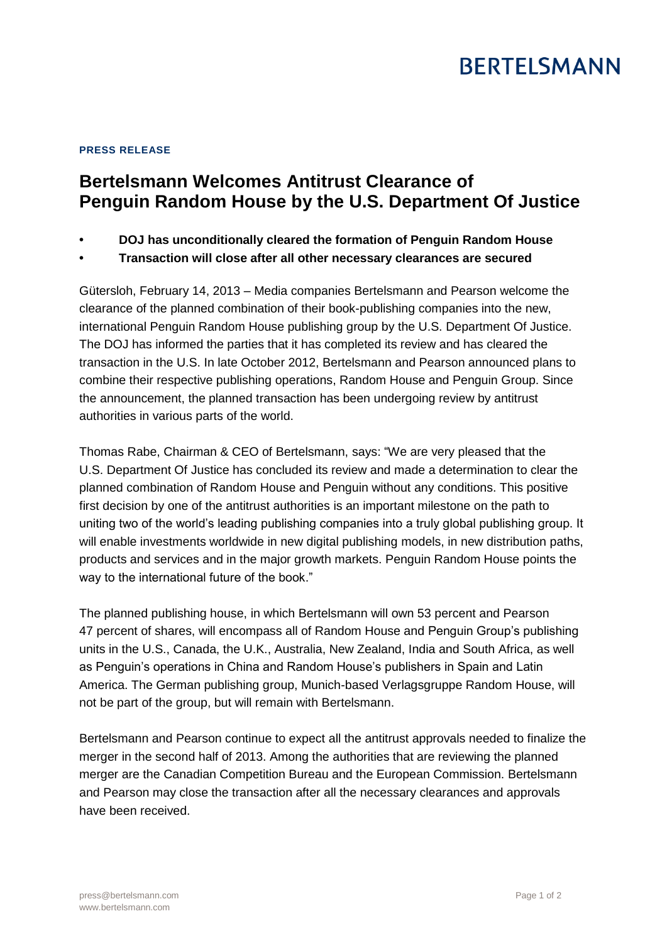## **BERTELSMANN**

## **PRESS RELEASE**

## **Bertelsmann Welcomes Antitrust Clearance of Penguin Random House by the U.S. Department Of Justice**

- **• DOJ has unconditionally cleared the formation of Penguin Random House**
- **• Transaction will close after all other necessary clearances are secured**

Gütersloh, February 14, 2013 – Media companies Bertelsmann and Pearson welcome the clearance of the planned combination of their book-publishing companies into the new, international Penguin Random House publishing group by the U.S. Department Of Justice. The DOJ has informed the parties that it has completed its review and has cleared the transaction in the U.S. In late October 2012, Bertelsmann and Pearson announced plans to combine their respective publishing operations, Random House and Penguin Group. Since the announcement, the planned transaction has been undergoing review by antitrust authorities in various parts of the world.

Thomas Rabe, Chairman & CEO of Bertelsmann, says: "We are very pleased that the U.S. Department Of Justice has concluded its review and made a determination to clear the planned combination of Random House and Penguin without any conditions. This positive first decision by one of the antitrust authorities is an important milestone on the path to uniting two of the world's leading publishing companies into a truly global publishing group. It will enable investments worldwide in new digital publishing models, in new distribution paths, products and services and in the major growth markets. Penguin Random House points the way to the international future of the book."

The planned publishing house, in which Bertelsmann will own 53 percent and Pearson 47 percent of shares, will encompass all of Random House and Penguin Group's publishing units in the U.S., Canada, the U.K., Australia, New Zealand, India and South Africa, as well as Penguin's operations in China and Random House's publishers in Spain and Latin America. The German publishing group, Munich-based Verlagsgruppe Random House, will not be part of the group, but will remain with Bertelsmann.

Bertelsmann and Pearson continue to expect all the antitrust approvals needed to finalize the merger in the second half of 2013. Among the authorities that are reviewing the planned merger are the Canadian Competition Bureau and the European Commission. Bertelsmann and Pearson may close the transaction after all the necessary clearances and approvals have been received.